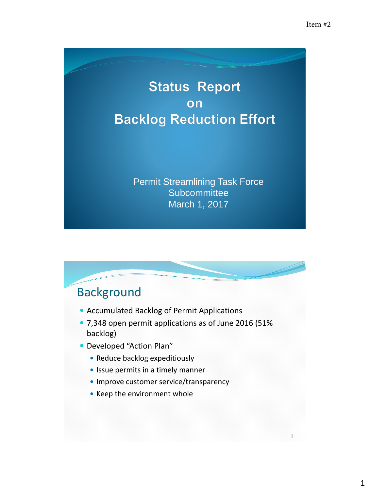## **Status Report** on **Backlog Reduction Effort**

Permit Streamlining Task Force **Subcommittee** March 1, 2017

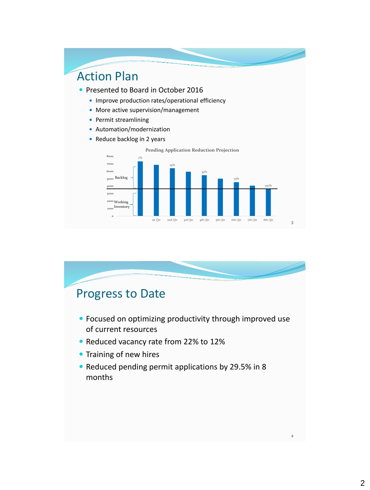

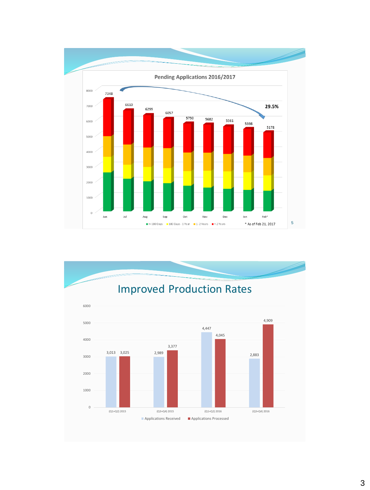

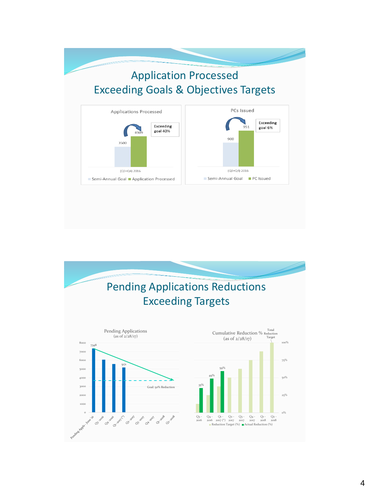## Application Processed Exceeding Goals & Objectives Targets



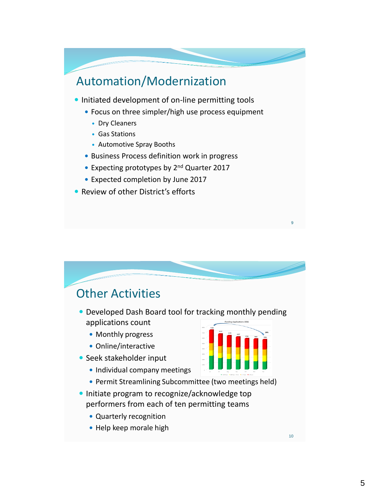## Automation/Modernization

- **Initiated development of on-line permitting tools** 
	- Focus on three simpler/high use process equipment
		- Dry Cleaners
		- Gas Stations
		- Automotive Spray Booths
	- Business Process definition work in progress
	- Expecting prototypes by 2<sup>nd</sup> Quarter 2017
	- Expected completion by June 2017
- Review of other District's efforts



9